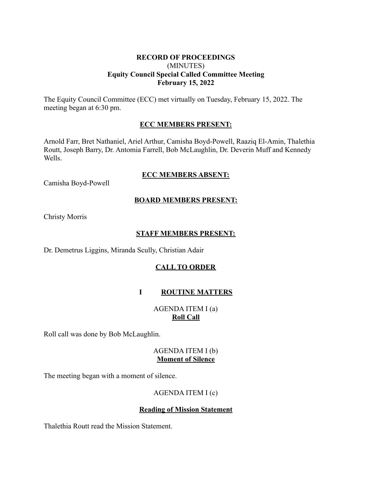#### **RECORD OF PROCEEDINGS** (MINUTES) **Equity Council Special Called Committee Meeting February 15, 2022**

The Equity Council Committee (ECC) met virtually on Tuesday, February 15, 2022. The meeting began at 6:30 pm.

## **ECC MEMBERS PRESENT:**

Arnold Farr, Bret Nathaniel, Ariel Arthur, Camisha Boyd-Powell, Raaziq El-Amin, Thalethia Routt, Joseph Barry, Dr. Antomia Farrell, Bob McLaughlin, Dr. Deverin Muff and Kennedy Wells.

#### **ECC MEMBERS ABSENT:**

Camisha Boyd-Powell

## **BOARD MEMBERS PRESENT:**

Christy Morris

## **STAFF MEMBERS PRESENT:**

Dr. Demetrus Liggins, Miranda Scully, Christian Adair

# **CALL TO ORDER**

# **I ROUTINE MATTERS**

# AGENDA ITEM I (a) **Roll Call**

Roll call was done by Bob McLaughlin.

#### AGENDA ITEM I (b) **Moment of Silence**

The meeting began with a moment of silence.

# AGENDA ITEM I (c)

#### **Reading of Mission Statement**

Thalethia Routt read the Mission Statement.